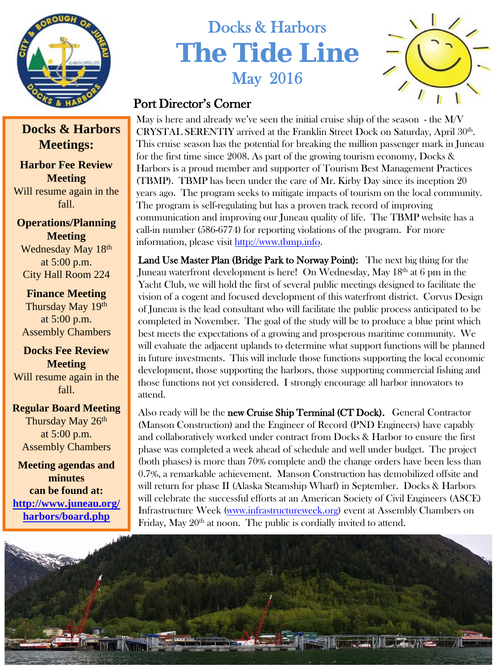

# Docks & Harbors **The Tide Line** May 2016



## Port Director's Corner

May is here and already we've seen the initial cruise ship of the season - the M/V CRYSTAL SERENTIY arrived at the Franklin Street Dock on Saturday, April 30<sup>th</sup>. This cruise season has the potential for breaking the million passenger mark in Juneau for the first time since 2008. As part of the growing tourism economy, Docks & Harbors is a proud member and supporter of Tourism Best Management Practices (TBMP). TBMP has been under the care of Mr. Kirby Day since its inception 20 years ago. The program seeks to mitigate impacts of tourism on the local community. The program is self-regulating but has a proven track record of improving communication and improving our Juneau quality of life. The TBMP website has a call-in number (586-6774) for reporting violations of the program. For more information, please visit [http://www.tbmp.info](http://www.tbmp.info/).

Land Use Master Plan (Bridge Park to Norway Point): The next big thing for the Juneau waterfront development is here! On Wednesday, May 18<sup>th</sup> at 6 pm in the Yacht Club, we will hold the first of several public meetings designed to facilitate the vision of a cogent and focused development of this waterfront district. Corvus Design of Juneau is the lead consultant who will facilitate the public process anticipated to be completed in November. The goal of the study will be to produce a blue print which best meets the expectations of a growing and prosperous maritime community. We will evaluate the adjacent uplands to determine what support functions will be planned in future investments. This will include those functions supporting the local economic development, those supporting the harbors, those supporting commercial fishing and those functions not yet considered. I strongly encourage all harbor innovators to attend.

Also ready will be the new Cruise Ship Terminal (CT Dock). General Contractor (Manson Construction) and the Engineer of Record (PND Engineers) have capably and collaboratively worked under contract from Docks & Harbor to ensure the first phase was completed a week ahead of schedule and well under budget. The project (both phases) is more than 70% complete and) the change orders have been less than 0.7%, a remarkable achievement. Manson Construction has demobilized offsite and will return for phase II (Alaska Steamship Wharf) in September. Docks & Harbors will celebrate the successful efforts at an American Society of Civil Engineers (ASCE) Infrastructure Week [\(www.infrastructureweek.org](http://www.infrastructureweek.org/)) event at Assembly Chambers on Friday, May  $20<sup>th</sup>$  at noon. The public is cordially invited to attend.



### **Docks & Harbors Meetings:**

**Harbor Fee Review Meeting** Will resume again in the fall.

**Operations/Planning Meeting** Wednesday May 18th at 5:00 p.m. City Hall Room 224

**Finance Meeting** Thursday May 19th at 5:00 p.m. Assembly Chambers

**Docks Fee Review Meeting** Will resume again in the fall.

**Regular Board Meeting** Thursday May 26th at 5:00 p.m. Assembly Chambers

**Meeting agendas and minutes can be found at: [http://www.juneau.org/](http://www.juneau.org/harbors/board.php) [harbors/board.php](http://www.juneau.org/harbors/board.php)**